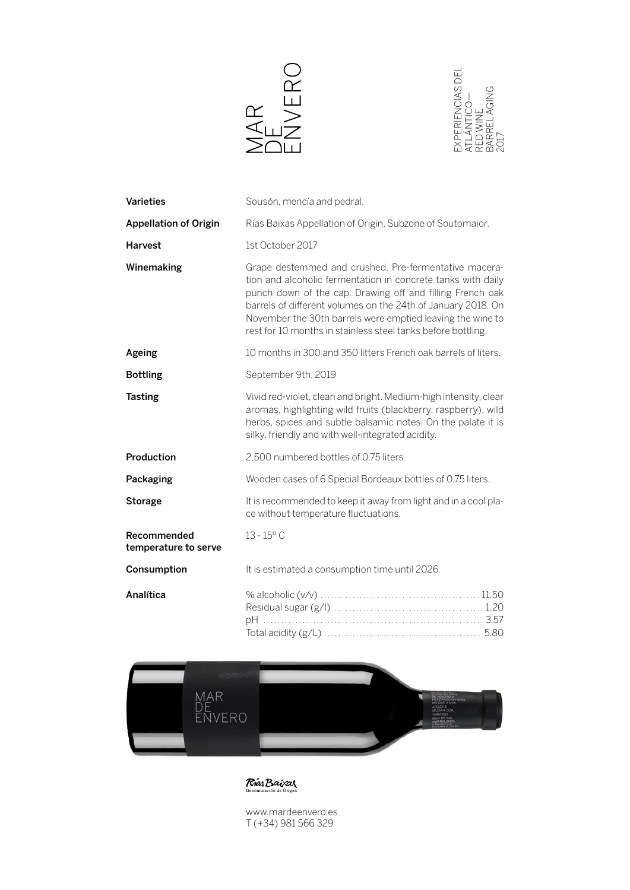



| Varieties                           | Sousón, mencía and pedral.                                                                                                                                                                                                                                                                                                                                                       |
|-------------------------------------|----------------------------------------------------------------------------------------------------------------------------------------------------------------------------------------------------------------------------------------------------------------------------------------------------------------------------------------------------------------------------------|
| <b>Appellation of Origin</b>        | Rías Baixas Appellation of Origin, Subzone of Soutomaior.                                                                                                                                                                                                                                                                                                                        |
| <b>Harvest</b>                      | 1st October 2017                                                                                                                                                                                                                                                                                                                                                                 |
| Winemaking                          | Grape destemmed and crushed. Pre-fermentative macera-<br>tion and alcoholic fermentation in concrete tanks with daily<br>punch down of the cap. Drawing off and filling French oak<br>barrels of different volumes on the 24th of January 2018. On<br>November the 30th barrels were emptied leaving the wine to<br>rest for 10 months in stainless steel tanks before bottling. |
| Ageing                              | 10 months in 300 and 350 litters French oak barrels of liters.                                                                                                                                                                                                                                                                                                                   |
| <b>Bottling</b>                     | September 9th, 2019                                                                                                                                                                                                                                                                                                                                                              |
| <b>Tasting</b>                      | Vivid red-violet, clean and bright. Medium-high intensity, clear<br>aromas, highlighting wild fruits (blackberry, raspberry), wild<br>herbs, spices and subtle balsamic notes. On the palate it is<br>silky, friendly and with well-integrated acidity.                                                                                                                          |
| Production                          | 2.500 numbered bottles of 0.75 liters                                                                                                                                                                                                                                                                                                                                            |
| Packaging                           | Wooden cases of 6 Special Bordeaux bottles of 0.75 liters.                                                                                                                                                                                                                                                                                                                       |
| Storage                             | It is recommended to keep it away from light and in a cool pla-<br>ce without temperature fluctuations.                                                                                                                                                                                                                                                                          |
| Recommended<br>temperature to serve | $13 - 15^{\circ}$ C                                                                                                                                                                                                                                                                                                                                                              |
| Consumption                         | It is estimated a consumption time until 2026.                                                                                                                                                                                                                                                                                                                                   |
| Analítica                           |                                                                                                                                                                                                                                                                                                                                                                                  |
|                                     |                                                                                                                                                                                                                                                                                                                                                                                  |



**Rias Baixas** 

www.mardeenvero.es T (+34) 981 566 329